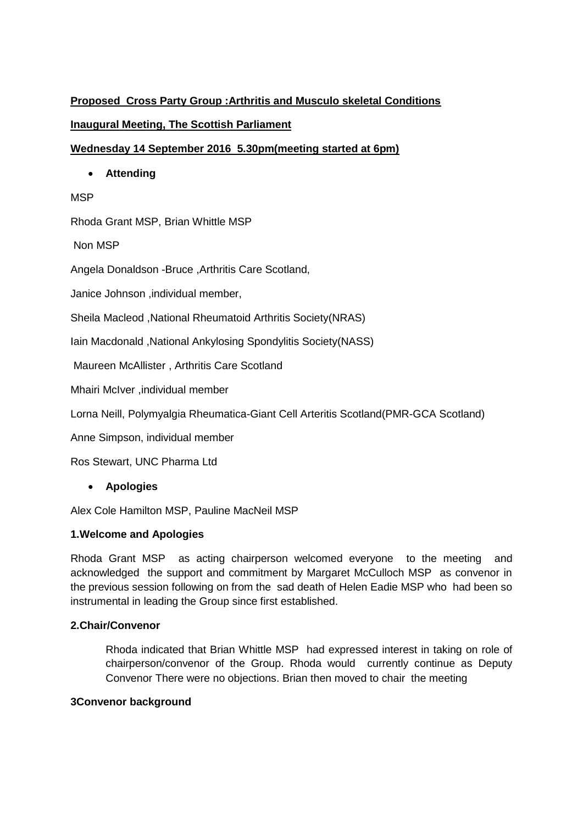# **Proposed Cross Party Group :Arthritis and Musculo skeletal Conditions**

# **Inaugural Meeting, The Scottish Parliament**

## **Wednesday 14 September 2016 5.30pm(meeting started at 6pm)**

**Attending** 

### **MSP**

Rhoda Grant MSP, Brian Whittle MSP

Non MSP

Angela Donaldson -Bruce ,Arthritis Care Scotland,

Janice Johnson ,individual member,

Sheila Macleod ,National Rheumatoid Arthritis Society(NRAS)

Iain Macdonald ,National Ankylosing Spondylitis Society(NASS)

Maureen McAllister , Arthritis Care Scotland

Mhairi McIver ,individual member

Lorna Neill, Polymyalgia Rheumatica-Giant Cell Arteritis Scotland(PMR-GCA Scotland)

Anne Simpson, individual member

Ros Stewart, UNC Pharma Ltd

**Apologies**

Alex Cole Hamilton MSP, Pauline MacNeil MSP

## **1.Welcome and Apologies**

Rhoda Grant MSP as acting chairperson welcomed everyone to the meeting and acknowledged the support and commitment by Margaret McCulloch MSP as convenor in the previous session following on from the sad death of Helen Eadie MSP who had been so instrumental in leading the Group since first established.

#### **2.Chair/Convenor**

Rhoda indicated that Brian Whittle MSP had expressed interest in taking on role of chairperson/convenor of the Group. Rhoda would currently continue as Deputy Convenor There were no objections. Brian then moved to chair the meeting

#### **3Convenor background**